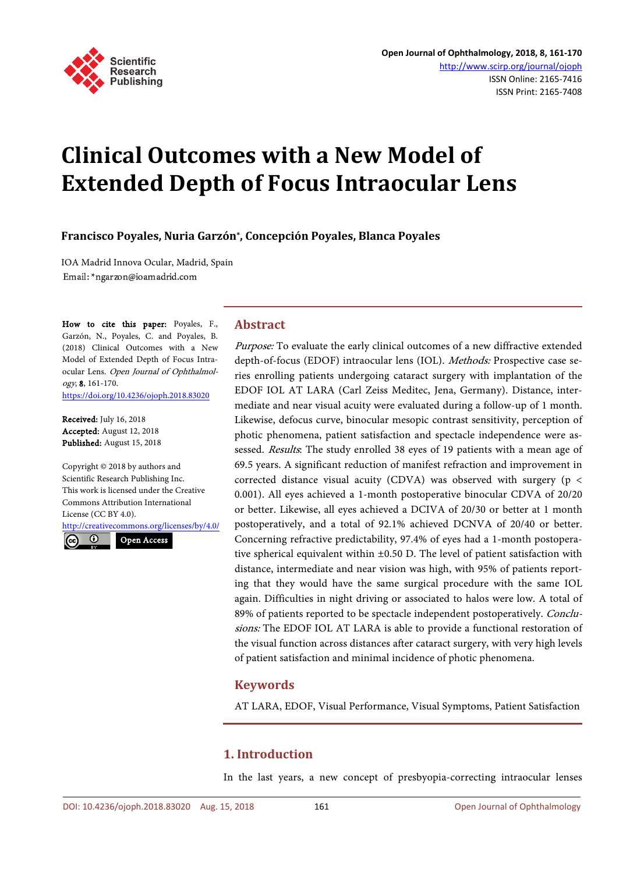

# **Clinical Outcomes with a New Model of Extended Depth of Focus Intraocular Lens**

**Francisco Poyales, Nuria Garzón\*, Concepción Poyales, Blanca Poyales**

**Abstract**

IOA Madrid Innova Ocular, Madrid, Spain Email: \* ngarzon@ioamadrid.com

How to cite this paper: Poyales, F., Garzón, N., Poyales, C. and Poyales, B. (2018) Clinical Outcomes with a New Model of Extended Depth of Focus Intraocular Lens. Open Journal of Ophthalmology, 8, 161-170.

<https://doi.org/10.4236/ojoph.2018.83020>

Received: July 16, 2018 Accepted: August 12, 2018 Published: August 15, 2018

Copyright © 2018 by authors and Scientific Research Publishing Inc. This work is licensed under the Creative Commons Attribution International License (CC BY 4.0).

<http://creativecommons.org/licenses/by/4.0/>  $\odot$ Open Access

photic phenomena, patient satisfaction and spectacle independence were assessed. Results: The study enrolled 38 eyes of 19 patients with a mean age of 69.5 years. A significant reduction of manifest refraction and improvement in corrected distance visual acuity (CDVA) was observed with surgery ( $p \lt c$ 0.001). All eyes achieved a 1-month postoperative binocular CDVA of 20/20 or better. Likewise, all eyes achieved a DCIVA of 20/30 or better at 1 month postoperatively, and a total of 92.1% achieved DCNVA of 20/40 or better. Concerning refractive predictability, 97.4% of eyes had a 1-month postoperative spherical equivalent within ±0.50 D. The level of patient satisfaction with distance, intermediate and near vision was high, with 95% of patients reporting that they would have the same surgical procedure with the same IOL again. Difficulties in night driving or associated to halos were low. A total of 89% of patients reported to be spectacle independent postoperatively. Conclusions: The EDOF IOL AT LARA is able to provide a functional restoration of the visual function across distances after cataract surgery, with very high levels of patient satisfaction and minimal incidence of photic phenomena.

Purpose: To evaluate the early clinical outcomes of a new diffractive extended depth-of-focus (EDOF) intraocular lens (IOL). Methods: Prospective case series enrolling patients undergoing cataract surgery with implantation of the EDOF IOL AT LARA (Carl Zeiss Meditec, Jena, Germany). Distance, intermediate and near visual acuity were evaluated during a follow-up of 1 month. Likewise, defocus curve, binocular mesopic contrast sensitivity, perception of

# **Keywords**

AT LARA, EDOF, Visual Performance, Visual Symptoms, Patient Satisfaction

# **1. Introduction**

In the last years, a new concept of presbyopia-correcting intraocular lenses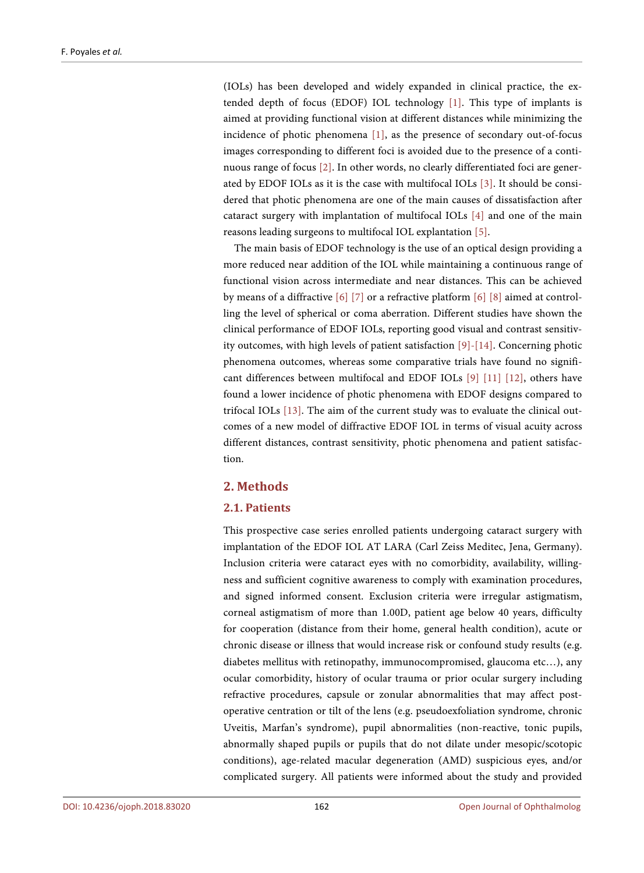(IOLs) has been developed and widely expanded in clinical practice, the extended depth of focus (EDOF) IOL technology [\[1\].](#page-7-0) This type of implants is aimed at providing functional vision at different distances while minimizing the incidence of photic phenomena [\[1\],](#page-7-0) as the presence of secondary out-of-focus images corresponding to different foci is avoided due to the presence of a continuous range of focus [\[2\].](#page-8-0) In other words, no clearly differentiated foci are generated by EDOF IOLs as it is the case with multifocal IOLs [\[3\].](#page-8-1) It should be considered that photic phenomena are one of the main causes of dissatisfaction after cataract surgery with implantation of multifocal IOLs [\[4\]](#page-8-2) and one of the main reasons leading surgeons to multifocal IOL explantation [\[5\].](#page-8-3)

The main basis of EDOF technology is the use of an optical design providing a more reduced near addition of the IOL while maintaining a continuous range of functional vision across intermediate and near distances. This can be achieved by means of a diffractive [\[6\]](#page-8-4) [\[7\]](#page-8-5) or a refractive platform [\[6\]](#page-8-4) [\[8\]](#page-8-6) aimed at controlling the level of spherical or coma aberration. Different studies have shown the clinical performance of EDOF IOLs, reporting good visual and contrast sensitivity outcomes, with high levels of patient satisfaction [\[9\]-](#page-8-7)[\[14\].](#page-9-0) Concerning photic phenomena outcomes, whereas some comparative trials have found no significant differences between multifocal and EDOF IOLs [\[9\]](#page-8-7) [\[11\]](#page-8-8) [\[12\],](#page-8-9) others have found a lower incidence of photic phenomena with EDOF designs compared to trifocal IOLs [\[13\].](#page-8-10) The aim of the current study was to evaluate the clinical outcomes of a new model of diffractive EDOF IOL in terms of visual acuity across different distances, contrast sensitivity, photic phenomena and patient satisfaction.

# **2. Methods**

## **2.1. Patients**

This prospective case series enrolled patients undergoing cataract surgery with implantation of the EDOF IOL AT LARA (Carl Zeiss Meditec, Jena, Germany). Inclusion criteria were cataract eyes with no comorbidity, availability, willingness and sufficient cognitive awareness to comply with examination procedures, and signed informed consent. Exclusion criteria were irregular astigmatism, corneal astigmatism of more than 1.00D, patient age below 40 years, difficulty for cooperation (distance from their home, general health condition), acute or chronic disease or illness that would increase risk or confound study results (e.g. diabetes mellitus with retinopathy, immunocompromised, glaucoma etc…), any ocular comorbidity, history of ocular trauma or prior ocular surgery including refractive procedures, capsule or zonular abnormalities that may affect postoperative centration or tilt of the lens (e.g. pseudoexfoliation syndrome, chronic Uveitis, Marfan's syndrome), pupil abnormalities (non-reactive, tonic pupils, abnormally shaped pupils or pupils that do not dilate under mesopic/scotopic conditions), age-related macular degeneration (AMD) suspicious eyes, and/or complicated surgery. All patients were informed about the study and provided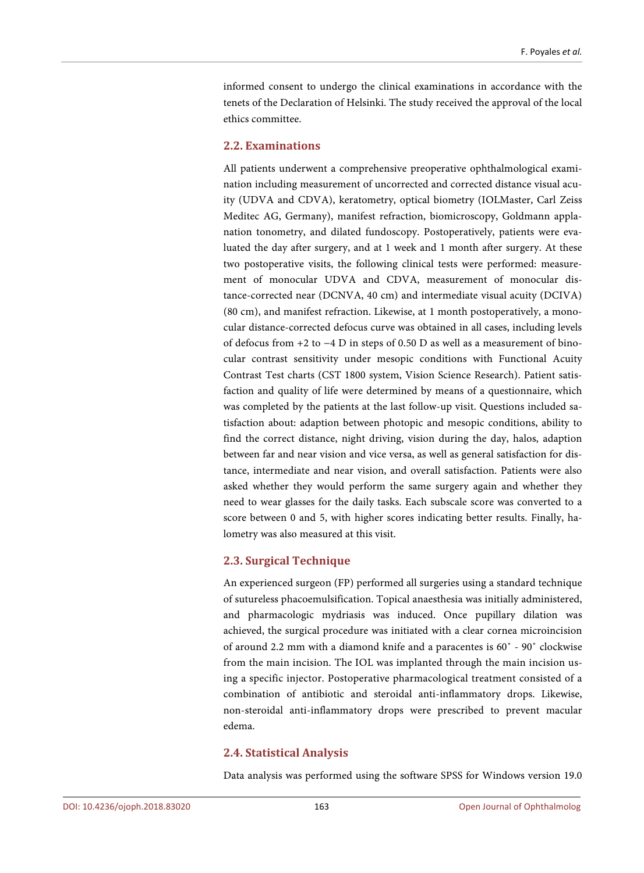informed consent to undergo the clinical examinations in accordance with the tenets of the Declaration of Helsinki. The study received the approval of the local ethics committee.

## **2.2. Examinations**

All patients underwent a comprehensive preoperative ophthalmological examination including measurement of uncorrected and corrected distance visual acuity (UDVA and CDVA), keratometry, optical biometry (IOLMaster, Carl Zeiss Meditec AG, Germany), manifest refraction, biomicroscopy, Goldmann applanation tonometry, and dilated fundoscopy. Postoperatively, patients were evaluated the day after surgery, and at 1 week and 1 month after surgery. At these two postoperative visits, the following clinical tests were performed: measurement of monocular UDVA and CDVA, measurement of monocular distance-corrected near (DCNVA, 40 cm) and intermediate visual acuity (DCIVA) (80 cm), and manifest refraction. Likewise, at 1 month postoperatively, a monocular distance-corrected defocus curve was obtained in all cases, including levels of defocus from +2 to −4 D in steps of 0.50 D as well as a measurement of binocular contrast sensitivity under mesopic conditions with Functional Acuity Contrast Test charts (CST 1800 system, Vision Science Research). Patient satisfaction and quality of life were determined by means of a questionnaire, which was completed by the patients at the last follow-up visit. Questions included satisfaction about: adaption between photopic and mesopic conditions, ability to find the correct distance, night driving, vision during the day, halos, adaption between far and near vision and vice versa, as well as general satisfaction for distance, intermediate and near vision, and overall satisfaction. Patients were also asked whether they would perform the same surgery again and whether they need to wear glasses for the daily tasks. Each subscale score was converted to a score between 0 and 5, with higher scores indicating better results. Finally, halometry was also measured at this visit.

## **2.3. Surgical Technique**

An experienced surgeon (FP) performed all surgeries using a standard technique of sutureless phacoemulsification. Topical anaesthesia was initially administered, and pharmacologic mydriasis was induced. Once pupillary dilation was achieved, the surgical procedure was initiated with a clear cornea microincision of around 2.2 mm with a diamond knife and a paracentes is 60˚ - 90˚ clockwise from the main incision. The IOL was implanted through the main incision using a specific injector. Postoperative pharmacological treatment consisted of a combination of antibiotic and steroidal anti-inflammatory drops. Likewise, non-steroidal anti-inflammatory drops were prescribed to prevent macular edema.

## **2.4. Statistical Analysis**

Data analysis was performed using the software SPSS for Windows version 19.0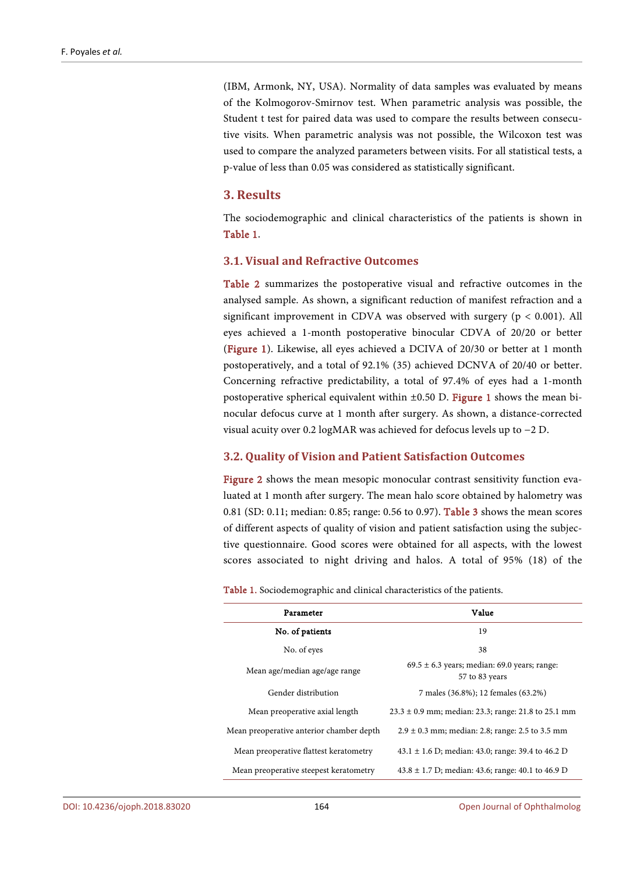(IBM, Armonk, NY, USA). Normality of data samples was evaluated by means of the Kolmogorov-Smirnov test. When parametric analysis was possible, the Student t test for paired data was used to compare the results between consecutive visits. When parametric analysis was not possible, the Wilcoxon test was used to compare the analyzed parameters between visits. For all statistical tests, a p-value of less than 0.05 was considered as statistically significant.

#### **3. Results**

The sociodemographic and clinical characteristics of the patients is shown in [Table 1.](#page-3-0)

## **3.1. Visual and Refractive Outcomes**

[Table 2](#page-4-0) summarizes the postoperative visual and refractive outcomes in the analysed sample. As shown, a significant reduction of manifest refraction and a significant improvement in CDVA was observed with surgery ( $p < 0.001$ ). All eyes achieved a 1-month postoperative binocular CDVA of 20/20 or better [\(Figure 1\)](#page-5-0). Likewise, all eyes achieved a DCIVA of 20/30 or better at 1 month postoperatively, and a total of 92.1% (35) achieved DCNVA of 20/40 or better. Concerning refractive predictability, a total of 97.4% of eyes had a 1-month postoperative spherical equivalent within  $\pm 0.50$  D. [Figure 1](#page-5-0) shows the mean binocular defocus curve at 1 month after surgery. As shown, a distance-corrected visual acuity over 0.2 logMAR was achieved for defocus levels up to −2 D.

## **3.2. Quality of Vision and Patient Satisfaction Outcomes**

[Figure 2](#page-5-1) shows the mean mesopic monocular contrast sensitivity function evaluated at 1 month after surgery. The mean halo score obtained by halometry was 0.81 (SD: 0.11; median: 0.85; range: 0.56 to 0.97). [Table 3](#page-4-1) shows the mean scores of different aspects of quality of vision and patient satisfaction using the subjective questionnaire. Good scores were obtained for all aspects, with the lowest scores associated to night driving and halos. A total of 95% (18) of the

<span id="page-3-0"></span>

| Value<br>Parameter                       |                                                                    |  |
|------------------------------------------|--------------------------------------------------------------------|--|
| No. of patients                          | 19                                                                 |  |
| No. of eyes                              | 38                                                                 |  |
| Mean age/median age/age range            | $69.5 \pm 6.3$ years; median: 69.0 years; range:<br>57 to 83 years |  |
| Gender distribution                      | 7 males (36.8%); 12 females (63.2%)                                |  |
| Mean preoperative axial length           | $23.3 \pm 0.9$ mm; median: 23.3; range: 21.8 to 25.1 mm            |  |
| Mean preoperative anterior chamber depth | $2.9 \pm 0.3$ mm; median: 2.8; range: 2.5 to 3.5 mm                |  |
| Mean preoperative flattest keratometry   | 43.1 $\pm$ 1.6 D; median: 43.0; range: 39.4 to 46.2 D              |  |
| Mean preoperative steepest keratometry   | $43.8 \pm 1.7$ D; median: 43.6; range: 40.1 to 46.9 D              |  |

Table 1. Sociodemographic and clinical characteristics of the patients.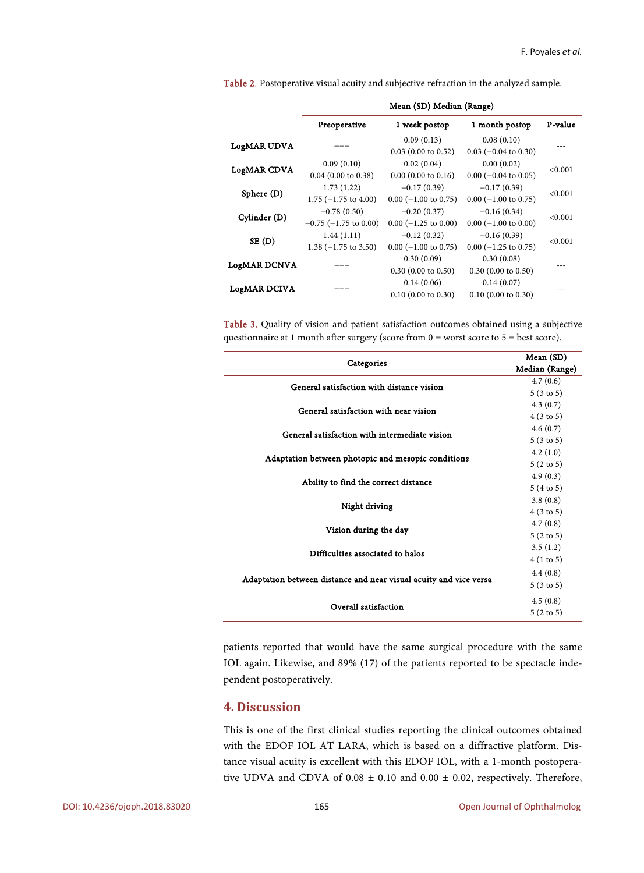|                     | Mean (SD) Median (Range)   |                        |                              |         |
|---------------------|----------------------------|------------------------|------------------------------|---------|
|                     | Preoperative               | 1 week postop          | 1 month postop               | P-value |
| LogMAR UDVA         |                            | 0.09(0.13)             | 0.08(0.10)                   |         |
|                     |                            | $0.03$ (0.00 to 0.52)  | $0.03$ (-0.04 to 0.30)       |         |
| <b>LogMAR CDVA</b>  | 0.09(0.10)                 | 0.02(0.04)             | 0.00(0.02)                   | < 0.001 |
|                     | $0.04$ (0.00 to 0.38)      | $0.00$ (0.00 to 0.16)  | $0.00$ ( $-0.04$ to $0.05$ ) |         |
| Sphere (D)          | 1.73(1.22)                 | $-0.17(0.39)$          | $-0.17(0.39)$                | < 0.001 |
|                     | $1.75$ (-1.75 to 4.00)     | $0.00$ (-1.00 to 0.75) | $0.00$ (-1.00 to 0.75)       |         |
| Cylinder (D)        | $-0.78(0.50)$              | $-0.20(0.37)$          | $-0.16(0.34)$                | < 0.001 |
|                     | $-0.75$ ( $-1.75$ to 0.00) | $0.00$ (-1.25 to 0.00) | $0.00$ (-1.00 to 0.00)       |         |
| SE(D)               | 1.44(1.11)                 | $-0.12(0.32)$          | $-0.16(0.39)$                | < 0.001 |
|                     | $1.38$ (-1.75 to 3.50)     | $0.00$ (-1.00 to 0.75) | $0.00$ (-1.25 to 0.75)       |         |
| <b>LogMAR DCNVA</b> |                            | 0.30(0.09)             | 0.30(0.08)                   |         |
|                     |                            | $0.30$ (0.00 to 0.50)  | $0.30$ (0.00 to 0.50)        |         |
| LogMAR DCIVA        |                            | 0.14(0.06)             | 0.14(0.07)                   |         |
|                     |                            | $0.10$ (0.00 to 0.30)  | $0.10$ (0.00 to 0.30)        |         |

<span id="page-4-0"></span>Table 2. Postoperative visual acuity and subjective refraction in the analyzed sample.

<span id="page-4-1"></span>Table 3. Quality of vision and patient satisfaction outcomes obtained using a subjective questionnaire at 1 month after surgery (score from 0 = worst score to 5 = best score).

|                                                                   | Mean (SD)            |
|-------------------------------------------------------------------|----------------------|
| Categories                                                        | Median (Range)       |
| General satisfaction with distance vision                         | 4.7(0.6)             |
|                                                                   | 5(3 to 5)            |
| General satisfaction with near vision                             | 4.3(0.7)             |
|                                                                   | 4(3 to 5)            |
| General satisfaction with intermediate vision                     | 4.6(0.7)             |
|                                                                   | 5(3 to 5)            |
| Adaptation between photopic and mesopic conditions                | 4.2(1.0)             |
|                                                                   | $5(2 \text{ to } 5)$ |
| Ability to find the correct distance                              | 4.9(0.3)             |
|                                                                   | 5(4 to 5)            |
| Night driving                                                     | 3.8(0.8)             |
|                                                                   | $4(3 \text{ to } 5)$ |
| Vision during the day                                             | 4.7(0.8)             |
|                                                                   | $5(2 \text{ to } 5)$ |
| Difficulties associated to halos                                  | 3.5(1.2)             |
|                                                                   | 4(1 to 5)            |
|                                                                   | 4.4(0.8)             |
| Adaptation between distance and near visual acuity and vice versa | $5(3 \text{ to } 5)$ |
|                                                                   | 4.5(0.8)             |
| Overall satisfaction                                              | $5(2 \text{ to } 5)$ |

patients reported that would have the same surgical procedure with the same IOL again. Likewise, and 89% (17) of the patients reported to be spectacle independent postoperatively.

# **4. Discussion**

This is one of the first clinical studies reporting the clinical outcomes obtained with the EDOF IOL AT LARA, which is based on a diffractive platform. Distance visual acuity is excellent with this EDOF IOL, with a 1-month postoperative UDVA and CDVA of 0.08 ± 0.10 and 0.00 ± 0.02, respectively. Therefore,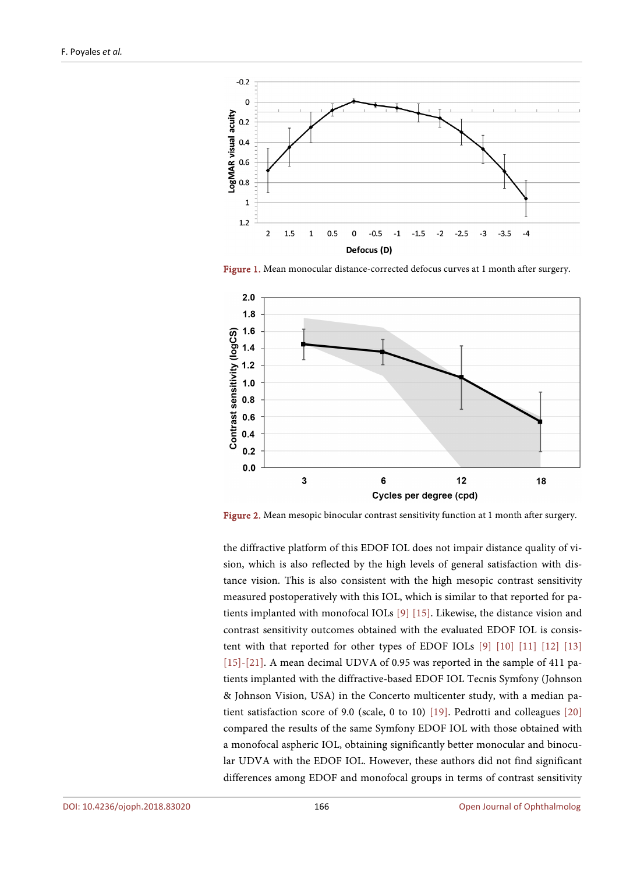<span id="page-5-0"></span>

Figure 1. Mean monocular distance-corrected defocus curves at 1 month after surgery.

<span id="page-5-1"></span>

Figure 2. Mean mesopic binocular contrast sensitivity function at 1 month after surgery.

the diffractive platform of this EDOF IOL does not impair distance quality of vision, which is also reflected by the high levels of general satisfaction with distance vision. This is also consistent with the high mesopic contrast sensitivity measured postoperatively with this IOL, which is similar to that reported for patients implanted with monofocal IOLs [\[9\]](#page-8-7) [\[15\].](#page-9-1) Likewise, the distance vision and contrast sensitivity outcomes obtained with the evaluated EDOF IOL is consistent with that reported for other types of EDOF IOLs [\[9\]](#page-8-7) [\[10\]](#page-8-11) [\[11\]](#page-8-8) [\[12\]](#page-8-9) [\[13\]](#page-8-10) [\[15\]-](#page-9-1)[\[21\].](#page-9-2) A mean decimal UDVA of 0.95 was reported in the sample of 411 patients implanted with the diffractive-based EDOF IOL Tecnis Symfony (Johnson & Johnson Vision, USA) in the Concerto multicenter study, with a median patient satisfaction score of 9.0 (scale, 0 to 10) [\[19\].](#page-9-3) Pedrotti and colleagues [\[20\]](#page-9-4) compared the results of the same Symfony EDOF IOL with those obtained with a monofocal aspheric IOL, obtaining significantly better monocular and binocular UDVA with the EDOF IOL. However, these authors did not find significant differences among EDOF and monofocal groups in terms of contrast sensitivity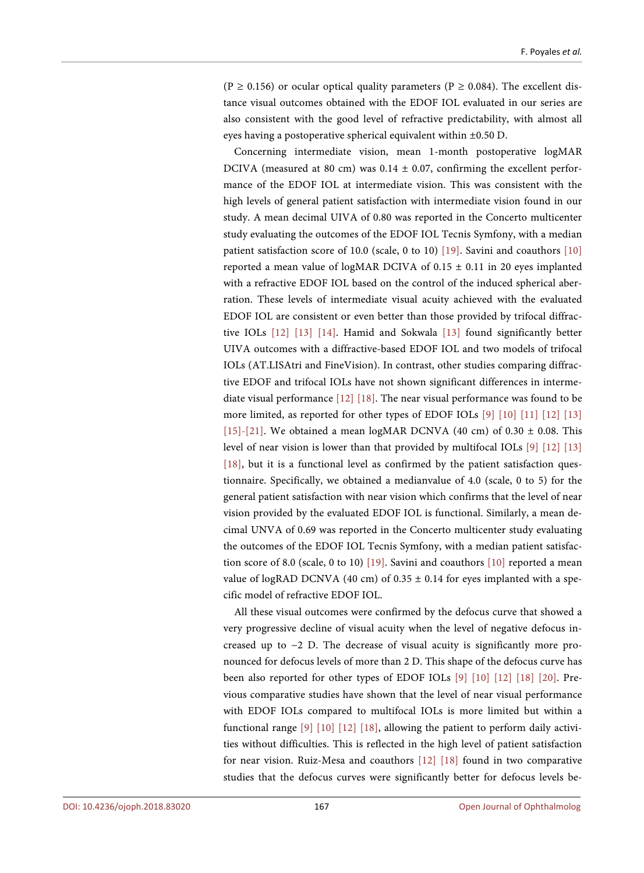(P  $\geq$  0.156) or ocular optical quality parameters (P  $\geq$  0.084). The excellent distance visual outcomes obtained with the EDOF IOL evaluated in our series are also consistent with the good level of refractive predictability, with almost all eyes having a postoperative spherical equivalent within ±0.50 D.

Concerning intermediate vision, mean 1-month postoperative logMAR DCIVA (measured at 80 cm) was  $0.14 \pm 0.07$ , confirming the excellent performance of the EDOF IOL at intermediate vision. This was consistent with the high levels of general patient satisfaction with intermediate vision found in our study. A mean decimal UIVA of 0.80 was reported in the Concerto multicenter study evaluating the outcomes of the EDOF IOL Tecnis Symfony, with a median patient satisfaction score of 10.0 (scale, 0 to 10) [\[19\].](#page-9-3) Savini and coauthors [\[10\]](#page-8-11) reported a mean value of logMAR DCIVA of  $0.15 \pm 0.11$  in 20 eyes implanted with a refractive EDOF IOL based on the control of the induced spherical aberration. These levels of intermediate visual acuity achieved with the evaluated EDOF IOL are consistent or even better than those provided by trifocal diffractive IOLs [\[12\]](#page-8-9) [\[13\]](#page-8-10) [\[14\].](#page-9-0) Hamid and Sokwala [\[13\]](#page-8-10) found significantly better UIVA outcomes with a diffractive-based EDOF IOL and two models of trifocal IOLs (AT.LISAtri and FineVision). In contrast, other studies comparing diffractive EDOF and trifocal IOLs have not shown significant differences in intermediate visual performance [\[12\]](#page-8-9) [\[18\].](#page-9-5) The near visual performance was found to be more limited, as reported for other types of EDOF IOLs [\[9\]](#page-8-7) [\[10\]](#page-8-11) [\[11\]](#page-8-8) [\[12\]](#page-8-9) [\[13\]](#page-8-10) [\[15\]-](#page-9-1)[\[21\].](#page-9-2) We obtained a mean logMAR DCNVA (40 cm) of  $0.30 \pm 0.08$ . This level of near vision is lower than that provided by multifocal IOLs [\[9\]](#page-8-7) [\[12\]](#page-8-9) [\[13\]](#page-8-10) [\[18\],](#page-9-5) but it is a functional level as confirmed by the patient satisfaction questionnaire. Specifically, we obtained a medianvalue of 4.0 (scale, 0 to 5) for the general patient satisfaction with near vision which confirms that the level of near vision provided by the evaluated EDOF IOL is functional. Similarly, a mean decimal UNVA of 0.69 was reported in the Concerto multicenter study evaluating the outcomes of the EDOF IOL Tecnis Symfony, with a median patient satisfaction score of 8.0 (scale, 0 to 10) [\[19\].](#page-9-3) Savini and coauthors [\[10\]](#page-8-11) reported a mean value of logRAD DCNVA (40 cm) of  $0.35 \pm 0.14$  for eyes implanted with a specific model of refractive EDOF IOL.

All these visual outcomes were confirmed by the defocus curve that showed a very progressive decline of visual acuity when the level of negative defocus increased up to −2 D. The decrease of visual acuity is significantly more pronounced for defocus levels of more than 2 D. This shape of the defocus curve has been also reported for other types of EDOF IOLs [\[9\]](#page-8-7) [\[10\]](#page-8-11) [\[12\]](#page-8-9) [\[18\]](#page-9-5) [\[20\].](#page-9-4) Previous comparative studies have shown that the level of near visual performance with EDOF IOLs compared to multifocal IOLs is more limited but within a functional range [\[9\]](#page-8-7) [\[10\]](#page-8-11) [\[12\]](#page-8-9) [\[18\],](#page-9-5) allowing the patient to perform daily activities without difficulties. This is reflected in the high level of patient satisfaction for near vision. Ruiz-Mesa and coauthors [\[12\]](#page-8-9) [\[18\]](#page-9-5) found in two comparative studies that the defocus curves were significantly better for defocus levels be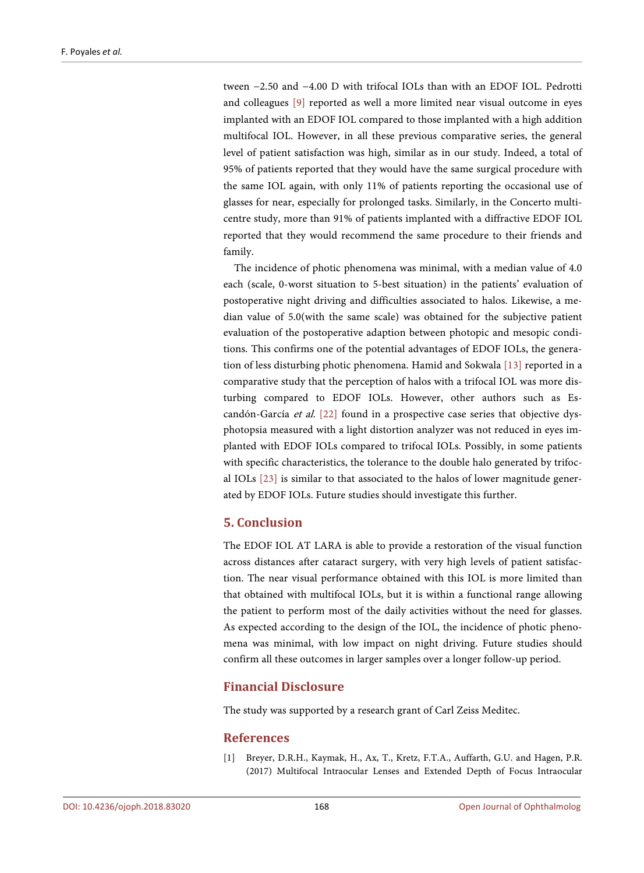tween −2.50 and −4.00 D with trifocal IOLs than with an EDOF IOL. Pedrotti and colleagues [\[9\]](#page-8-7) reported as well a more limited near visual outcome in eyes implanted with an EDOF IOL compared to those implanted with a high addition multifocal IOL. However, in all these previous comparative series, the general level of patient satisfaction was high, similar as in our study. Indeed, a total of 95% of patients reported that they would have the same surgical procedure with the same IOL again, with only 11% of patients reporting the occasional use of glasses for near, especially for prolonged tasks. Similarly, in the Concerto multicentre study, more than 91% of patients implanted with a diffractive EDOF IOL reported that they would recommend the same procedure to their friends and family.

The incidence of photic phenomena was minimal, with a median value of 4.0 each (scale, 0-worst situation to 5-best situation) in the patients' evaluation of postoperative night driving and difficulties associated to halos. Likewise, a median value of 5.0(with the same scale) was obtained for the subjective patient evaluation of the postoperative adaption between photopic and mesopic conditions. This confirms one of the potential advantages of EDOF IOLs, the generation of less disturbing photic phenomena. Hamid and Sokwala [\[13\]](#page-8-10) reported in a comparative study that the perception of halos with a trifocal IOL was more disturbing compared to EDOF IOLs. However, other authors such as Escandón-García et al. [\[22\]](#page-9-6) found in a prospective case series that objective dysphotopsia measured with a light distortion analyzer was not reduced in eyes implanted with EDOF IOLs compared to trifocal IOLs. Possibly, in some patients with specific characteristics, the tolerance to the double halo generated by trifocal IOLs [\[23\]](#page-9-7) is similar to that associated to the halos of lower magnitude generated by EDOF IOLs. Future studies should investigate this further.

# **5. Conclusion**

The EDOF IOL AT LARA is able to provide a restoration of the visual function across distances after cataract surgery, with very high levels of patient satisfaction. The near visual performance obtained with this IOL is more limited than that obtained with multifocal IOLs, but it is within a functional range allowing the patient to perform most of the daily activities without the need for glasses. As expected according to the design of the IOL, the incidence of photic phenomena was minimal, with low impact on night driving. Future studies should confirm all these outcomes in larger samples over a longer follow-up period.

# **Financial Disclosure**

The study was supported by a research grant of Carl Zeiss Meditec.

## **References**

<span id="page-7-0"></span>[1] Breyer, D.R.H., Kaymak, H., Ax, T., Kretz, F.T.A., Auffarth, G.U. and Hagen, P.R. (2017) Multifocal Intraocular Lenses and Extended Depth of Focus Intraocular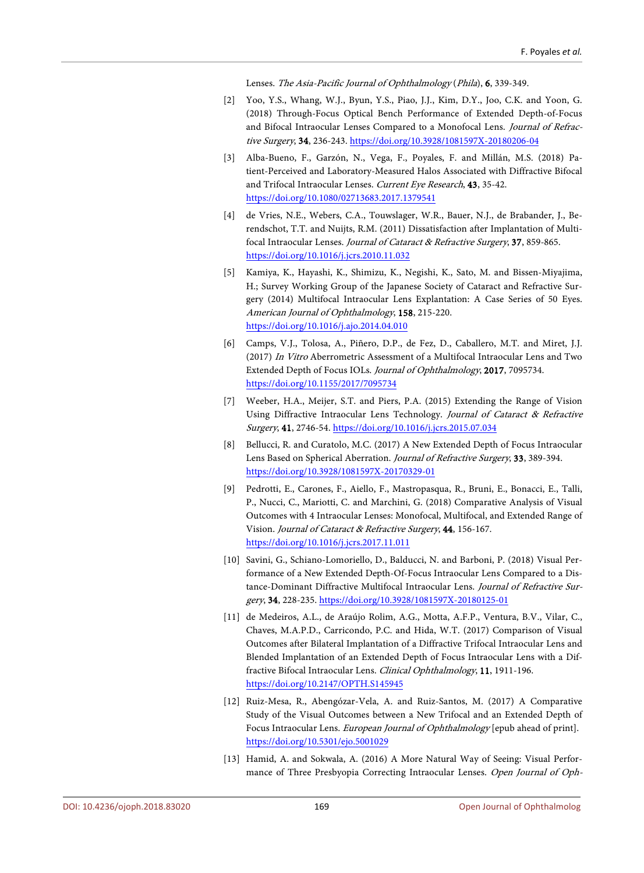Lenses. The Asia-Pacific Journal of Ophthalmology (Phila), 6, 339-349.

- <span id="page-8-0"></span>[2] Yoo, Y.S., Whang, W.J., Byun, Y.S., Piao, J.J., Kim, D.Y., Joo, C.K. and Yoon, G. (2018) Through-Focus Optical Bench Performance of Extended Depth-of-Focus and Bifocal Intraocular Lenses Compared to a Monofocal Lens. Journal of Refractive Surgery, 34, 236-243[. https://doi.org/10.3928/1081597X-20180206-04](https://doi.org/10.3928/1081597X-20180206-04)
- <span id="page-8-1"></span>[3] Alba-Bueno, F., Garzón, N., Vega, F., Poyales, F. and Millán, M.S. (2018) Patient-Perceived and Laboratory-Measured Halos Associated with Diffractive Bifocal and Trifocal Intraocular Lenses. Current Eye Research, 43, 35-42. <https://doi.org/10.1080/02713683.2017.1379541>
- <span id="page-8-2"></span>[4] de Vries, N.E., Webers, C.A., Touwslager, W.R., Bauer, N.J., de Brabander, J., Berendschot, T.T. and Nuijts, R.M. (2011) Dissatisfaction after Implantation of Multifocal Intraocular Lenses. Journal of Cataract & Refractive Surgery, 37, 859-865. <https://doi.org/10.1016/j.jcrs.2010.11.032>
- <span id="page-8-3"></span>[5] Kamiya, K., Hayashi, K., Shimizu, K., Negishi, K., Sato, M. and Bissen-Miyajima, H.; Survey Working Group of the Japanese Society of Cataract and Refractive Surgery (2014) Multifocal Intraocular Lens Explantation: A Case Series of 50 Eyes. American Journal of Ophthalmology, 158, 215-220. <https://doi.org/10.1016/j.ajo.2014.04.010>
- <span id="page-8-4"></span>[6] Camps, V.J., Tolosa, A., Piñero, D.P., de Fez, D., Caballero, M.T. and Miret, J.J. (2017) In Vitro Aberrometric Assessment of a Multifocal Intraocular Lens and Two Extended Depth of Focus IOLs. Journal of Ophthalmology, 2017, 7095734. <https://doi.org/10.1155/2017/7095734>
- <span id="page-8-5"></span>[7] Weeber, H.A., Meijer, S.T. and Piers, P.A. (2015) Extending the Range of Vision Using Diffractive Intraocular Lens Technology. Journal of Cataract & Refractive Surgery, 41, 2746-54.<https://doi.org/10.1016/j.jcrs.2015.07.034>
- <span id="page-8-6"></span>[8] Bellucci, R. and Curatolo, M.C. (2017) A New Extended Depth of Focus Intraocular Lens Based on Spherical Aberration. Journal of Refractive Surgery, 33, 389-394. <https://doi.org/10.3928/1081597X-20170329-01>
- <span id="page-8-7"></span>[9] Pedrotti, E., Carones, F., Aiello, F., Mastropasqua, R., Bruni, E., Bonacci, E., Talli, P., Nucci, C., Mariotti, C. and Marchini, G. (2018) Comparative Analysis of Visual Outcomes with 4 Intraocular Lenses: Monofocal, Multifocal, and Extended Range of Vision. Journal of Cataract & Refractive Surgery, 44, 156-167. <https://doi.org/10.1016/j.jcrs.2017.11.011>
- <span id="page-8-11"></span>[10] Savini, G., Schiano-Lomoriello, D., Balducci, N. and Barboni, P. (2018) Visual Performance of a New Extended Depth-Of-Focus Intraocular Lens Compared to a Distance-Dominant Diffractive Multifocal Intraocular Lens. Journal of Refractive Surgery, 34, 228-235. <https://doi.org/10.3928/1081597X-20180125-01>
- <span id="page-8-8"></span>[11] de Medeiros, A.L., de Araújo Rolim, A.G., Motta, A.F.P., Ventura, B.V., Vilar, C., Chaves, M.A.P.D., Carricondo, P.C. and Hida, W.T. (2017) Comparison of Visual Outcomes after Bilateral Implantation of a Diffractive Trifocal Intraocular Lens and Blended Implantation of an Extended Depth of Focus Intraocular Lens with a Diffractive Bifocal Intraocular Lens. Clinical Ophthalmology, 11, 1911-196. <https://doi.org/10.2147/OPTH.S145945>
- <span id="page-8-9"></span>[12] Ruiz-Mesa, R., Abengózar-Vela, A. and Ruiz-Santos, M. (2017) A Comparative Study of the Visual Outcomes between a New Trifocal and an Extended Depth of Focus Intraocular Lens. European Journal of Ophthalmology [epub ahead of print]. <https://doi.org/10.5301/ejo.5001029>
- <span id="page-8-10"></span>[13] Hamid, A. and Sokwala, A. (2016) A More Natural Way of Seeing: Visual Performance of Three Presbyopia Correcting Intraocular Lenses. Open Journal of Oph-